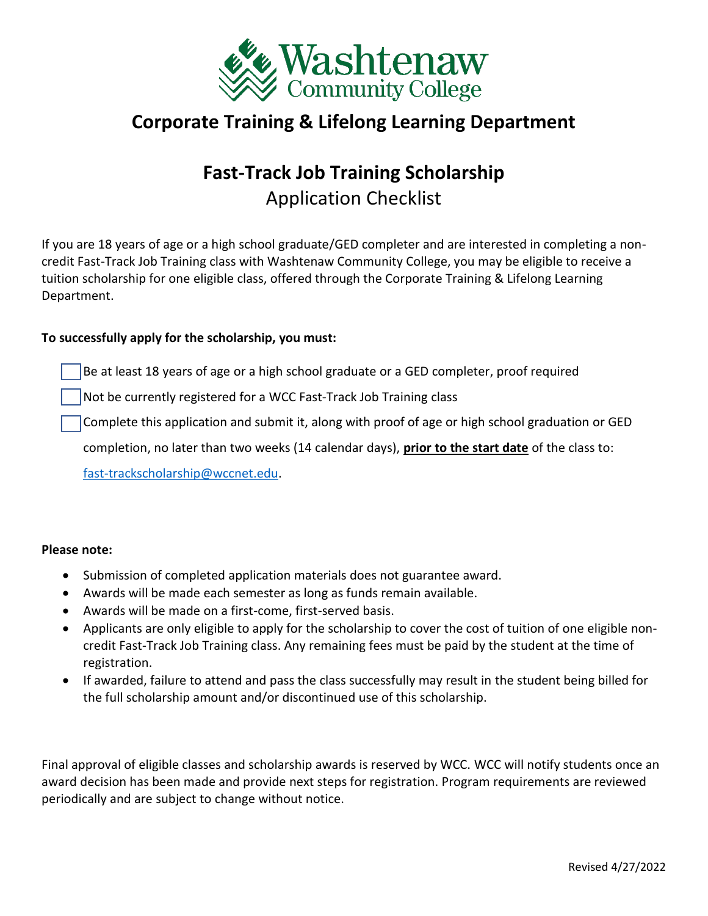

## **Corporate Training & Lifelong Learning Department**

# **Fast-Track Job Training Scholarship** Application Checklist

If you are 18 years of age or a high school graduate/GED completer and are interested in completing a noncredit Fast-Track Job Training class with Washtenaw Community College, you may be eligible to receive a tuition scholarship for one eligible class, offered through the Corporate Training & Lifelong Learning Department.

#### **To successfully apply for the scholarship, you must:**

Be at least 18 years of age or a high school graduate or a GED completer, proof required

Not be currently registered for a WCC Fast-Track Job Training class

Complete this application and submit it, along with proof of age or high school graduation or GED

completion, no later than two weeks (14 calendar days), **prior to the start date** of the class to:

[fast-trackscholarship@wccnet.edu.](mailto:fast-trackscholarship@wccnet.edu)

#### **Please note:**

- Submission of completed application materials does not guarantee award.
- Awards will be made each semester as long as funds remain available.
- Awards will be made on a first-come, first-served basis.
- Applicants are only eligible to apply for the scholarship to cover the cost of tuition of one eligible noncredit Fast-Track Job Training class. Any remaining fees must be paid by the student at the time of registration.
- If awarded, failure to attend and pass the class successfully may result in the student being billed for the full scholarship amount and/or discontinued use of this scholarship.

Final approval of eligible classes and scholarship awards is reserved by WCC. WCC will notify students once an award decision has been made and provide next steps for registration. Program requirements are reviewed periodically and are subject to change without notice.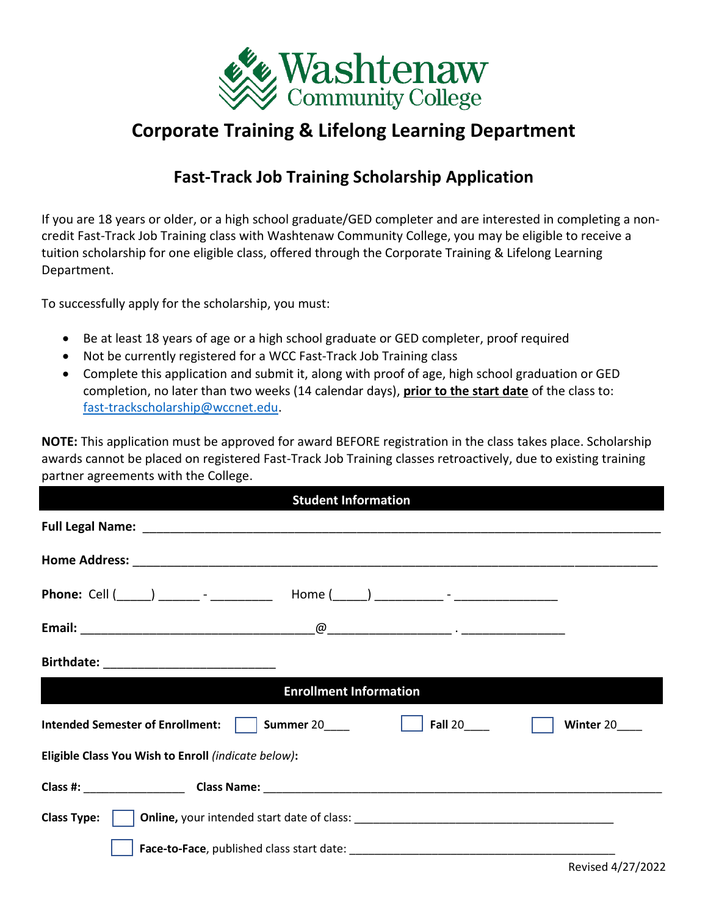

## **Corporate Training & Lifelong Learning Department**

### **Fast-Track Job Training Scholarship Application**

If you are 18 years or older, or a high school graduate/GED completer and are interested in completing a noncredit Fast-Track Job Training class with Washtenaw Community College, you may be eligible to receive a tuition scholarship for one eligible class, offered through the Corporate Training & Lifelong Learning Department.

To successfully apply for the scholarship, you must:

- Be at least 18 years of age or a high school graduate or GED completer, proof required
- Not be currently registered for a WCC Fast-Track Job Training class
- Complete this application and submit it, along with proof of age, high school graduation or GED completion, no later than two weeks (14 calendar days), **prior to the start date** of the class to: [fast-trackscholarship@wccnet.edu.](mailto:fast-trackscholarship@wccnet.edu)

**NOTE:** This application must be approved for award BEFORE registration in the class takes place. Scholarship awards cannot be placed on registered Fast-Track Job Training classes retroactively, due to existing training partner agreements with the College.

| <b>Student Information</b>                                                               |  |  |  |
|------------------------------------------------------------------------------------------|--|--|--|
|                                                                                          |  |  |  |
|                                                                                          |  |  |  |
|                                                                                          |  |  |  |
|                                                                                          |  |  |  |
|                                                                                          |  |  |  |
| <b>Enrollment Information</b>                                                            |  |  |  |
| <b>Fall 20_____</b><br>Summer 20<br><b>Intended Semester of Enrollment:</b><br>Winter 20 |  |  |  |
| Eligible Class You Wish to Enroll (indicate below):                                      |  |  |  |
|                                                                                          |  |  |  |
| <b>Class Type:</b>                                                                       |  |  |  |
|                                                                                          |  |  |  |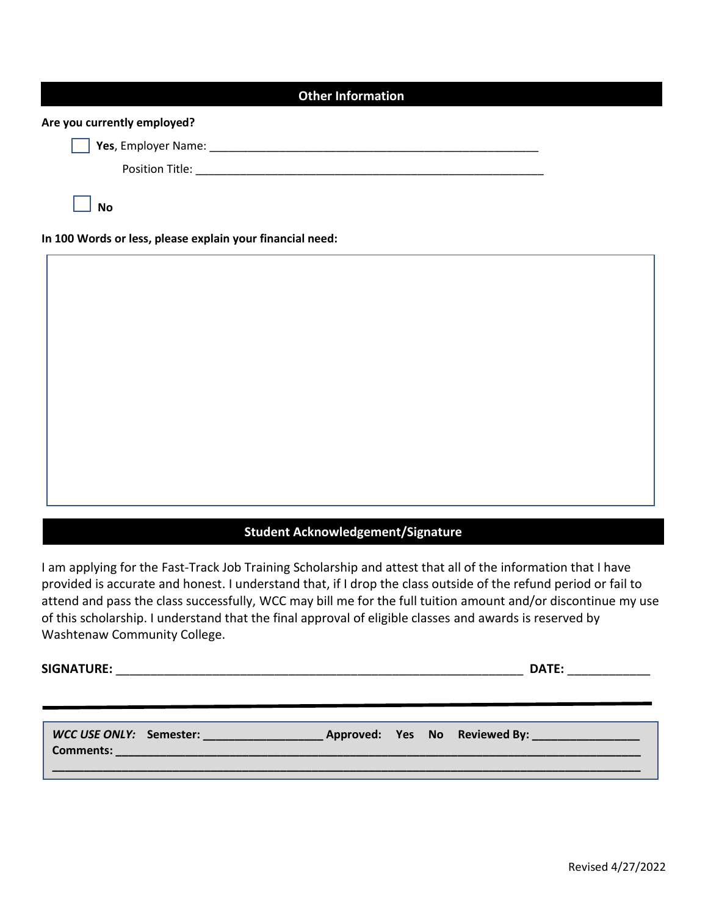| <b>Other Information</b>                                  |  |
|-----------------------------------------------------------|--|
| Are you currently employed?                               |  |
|                                                           |  |
|                                                           |  |
| <b>No</b>                                                 |  |
| In 100 Words or less, please explain your financial need: |  |
|                                                           |  |
|                                                           |  |
|                                                           |  |
|                                                           |  |
|                                                           |  |
|                                                           |  |
|                                                           |  |
|                                                           |  |
|                                                           |  |
|                                                           |  |

### **Student Acknowledgement/Signature**

I am applying for the Fast-Track Job Training Scholarship and attest that all of the information that I have provided is accurate and honest. I understand that, if I drop the class outside of the refund period or fail to attend and pass the class successfully, WCC may bill me for the full tuition amount and/or discontinue my use of this scholarship. I understand that the final approval of eligible classes and awards is reserved by Washtenaw Community College.

**\_\_\_\_\_\_\_\_\_\_\_\_\_\_\_\_\_\_\_\_\_\_\_\_\_\_\_\_\_\_\_\_\_\_\_\_\_\_\_\_\_\_\_\_\_\_\_\_\_\_\_\_\_\_\_\_\_\_\_\_\_\_\_\_\_\_\_\_\_\_\_\_\_\_\_\_\_\_\_\_\_\_\_\_\_\_\_\_\_\_\_\_\_**

**SIGNATURE:** \_\_\_\_\_\_\_\_\_\_\_\_\_\_\_\_\_\_\_\_\_\_\_\_\_\_\_\_\_\_\_\_\_\_\_\_\_\_\_\_\_\_\_\_\_\_\_\_\_\_\_\_\_\_\_\_\_\_\_ **DATE:** \_\_\_\_\_\_\_\_\_\_\_\_

**Comments: \_\_\_\_\_\_\_\_\_\_\_\_\_\_\_\_\_\_\_\_\_\_\_\_\_\_\_\_\_\_\_\_\_\_\_\_\_\_\_\_\_\_\_\_\_\_\_\_\_\_\_\_\_\_\_\_\_\_\_\_\_\_\_\_\_\_\_\_\_\_\_\_\_\_\_\_\_\_\_\_\_\_\_**

*WCC USE ONLY:* **Semester: \_\_\_\_\_\_\_\_\_\_\_\_\_\_\_\_\_\_\_ Approved: Yes No Reviewed By: \_\_\_\_\_\_\_\_\_\_\_\_\_\_\_\_\_**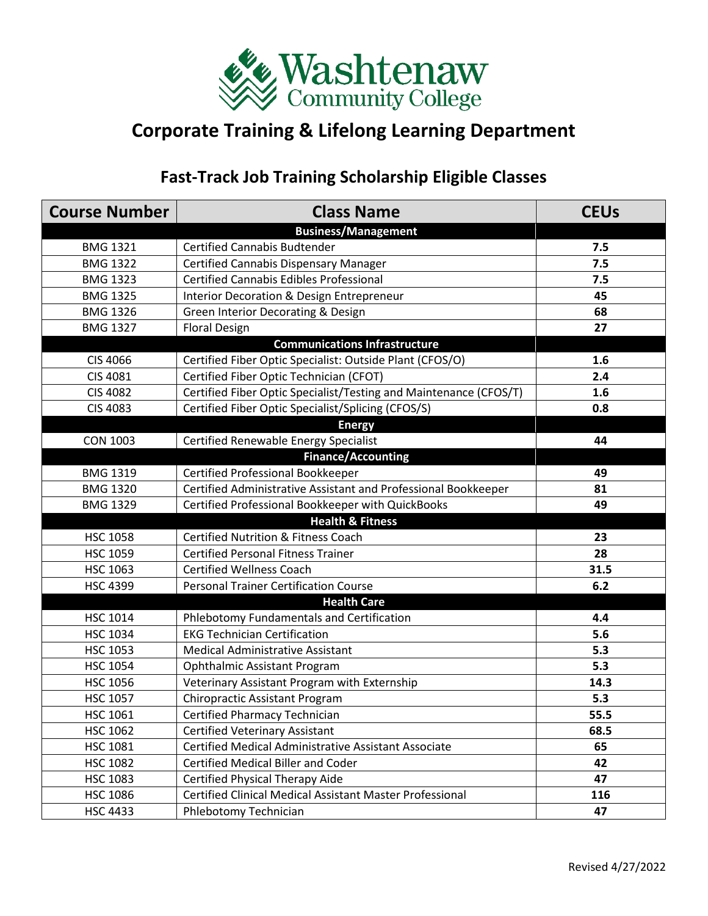

# **Corporate Training & Lifelong Learning Department**

### **Fast-Track Job Training Scholarship Eligible Classes**

| <b>Course Number</b> | <b>Class Name</b>                                                 | <b>CEUs</b> |
|----------------------|-------------------------------------------------------------------|-------------|
|                      | <b>Business/Management</b>                                        |             |
| <b>BMG 1321</b>      | <b>Certified Cannabis Budtender</b>                               | 7.5         |
| <b>BMG 1322</b>      | Certified Cannabis Dispensary Manager                             | 7.5         |
| <b>BMG 1323</b>      | <b>Certified Cannabis Edibles Professional</b>                    | 7.5         |
| <b>BMG 1325</b>      | Interior Decoration & Design Entrepreneur                         | 45          |
| <b>BMG 1326</b>      | Green Interior Decorating & Design                                | 68          |
| <b>BMG 1327</b>      | <b>Floral Design</b>                                              | 27          |
|                      | <b>Communications Infrastructure</b>                              |             |
| CIS 4066             | Certified Fiber Optic Specialist: Outside Plant (CFOS/O)          | 1.6         |
| CIS 4081             | Certified Fiber Optic Technician (CFOT)                           | 2.4         |
| <b>CIS 4082</b>      | Certified Fiber Optic Specialist/Testing and Maintenance (CFOS/T) | 1.6         |
| <b>CIS 4083</b>      | Certified Fiber Optic Specialist/Splicing (CFOS/S)                | 0.8         |
|                      | <b>Energy</b>                                                     |             |
| <b>CON 1003</b>      | Certified Renewable Energy Specialist                             | 44          |
|                      | <b>Finance/Accounting</b>                                         |             |
| <b>BMG 1319</b>      | Certified Professional Bookkeeper                                 | 49          |
| <b>BMG 1320</b>      | Certified Administrative Assistant and Professional Bookkeeper    | 81          |
| <b>BMG 1329</b>      | Certified Professional Bookkeeper with QuickBooks                 | 49          |
|                      | <b>Health &amp; Fitness</b>                                       |             |
| <b>HSC 1058</b>      | <b>Certified Nutrition &amp; Fitness Coach</b>                    | 23          |
| <b>HSC 1059</b>      | <b>Certified Personal Fitness Trainer</b>                         | 28          |
| <b>HSC 1063</b>      | <b>Certified Wellness Coach</b>                                   | 31.5        |
| <b>HSC 4399</b>      | <b>Personal Trainer Certification Course</b>                      | 6.2         |
|                      | <b>Health Care</b>                                                |             |
| <b>HSC 1014</b>      | Phlebotomy Fundamentals and Certification                         | 4.4         |
| <b>HSC 1034</b>      | <b>EKG Technician Certification</b>                               | 5.6         |
| <b>HSC 1053</b>      | <b>Medical Administrative Assistant</b>                           | 5.3         |
| <b>HSC 1054</b>      | Ophthalmic Assistant Program                                      | 5.3         |
| <b>HSC 1056</b>      | Veterinary Assistant Program with Externship                      | 14.3        |
| <b>HSC 1057</b>      | Chiropractic Assistant Program                                    | 5.3         |
| <b>HSC 1061</b>      | Certified Pharmacy Technician                                     | 55.5        |
| <b>HSC 1062</b>      | <b>Certified Veterinary Assistant</b>                             | 68.5        |
| <b>HSC 1081</b>      | Certified Medical Administrative Assistant Associate              | 65          |
| <b>HSC 1082</b>      | <b>Certified Medical Biller and Coder</b>                         | 42          |
| <b>HSC 1083</b>      | Certified Physical Therapy Aide                                   | 47          |
| <b>HSC 1086</b>      | <b>Certified Clinical Medical Assistant Master Professional</b>   | 116         |
| <b>HSC 4433</b>      | Phlebotomy Technician                                             | 47          |